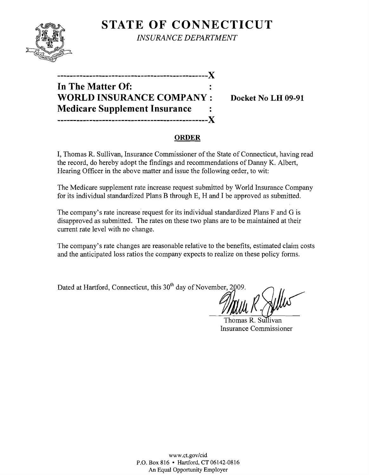

**STATE OF CONNECTICUT** *INSURANCE DEPARTMENT* 

| In The Matter Of:                    |  |
|--------------------------------------|--|
| <b>WORLD INSURANCE COMPANY:</b>      |  |
| <b>Medicare Supplement Insurance</b> |  |
| -------------------------------X     |  |

**Docket No LH 09-91** 

#### **ORDER**

I, Thomas R. Sullivan, Insurance Commissioner of the State of Connecticut, having read the record, do hereby adopt the findings and recommendations of Danny K. Albert, Hearing Officer in the above matter and issue the following order, to wit:

The Medicare supplement rate increase request submitted by Worid Insurance Company for its individual standardized Plans B through E, H and I be approved as submitted.

The company's rate increase request for its individual standardized Plans F and G is disapproved as submitted. The rates on these two plans are to be maintained at their current rate level with no change.

The company's rate changes are reasonable relative to the benefits, estimated claim costs and the anticipated loss ratios the company expects to realize on these policy forms.

tn, Dated at Hartford, Connecticut, this 30<sup>th</sup> day of November, 2009.

Thomas R. Sullivan Insurance Commissioner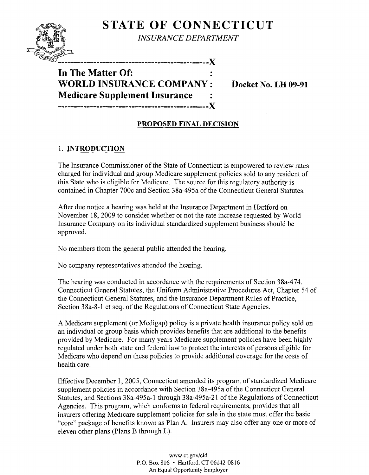# **STATE OF CONNECTICUT**

*INSURANCE DEPARTMENT* 



**In The Matter Of:** . י<br>.<br>. **WORLD INSURANCE COMPANY: Docket No. LH 09-91 Medicare Supplement Insurance** 

### **PROPOSED FINAL DECISION**

**-----------------------------------------------X** 

## 1. **INTRODUCTION**

The Insurance Commissioner of the State of Connecticut is empowered to review rates charged for individual and group Medicare supplement policies sold to any resident of this State who is eligible for Medicare. The source for this regulatory authority is contained in Chapter 700c and Section 38a-495a of the Connecticut General Statutes.

After due notice a hearing was held at the Insurance Department in Hartford on . November 18,2009 to consider whether or not the rate increase requested by World Insurance Company on its individual standardized supplement business should be approved.

No members from the general public attended the hearing.

No company representatives attended the hearing.

The hearing was conducted in accordance with the requirements of Section 38a-474, Connecticut General Statutes, the Uniform Administrative Procedures Act, Chapter 54 of the Connecticut General Statutes, and the Insurance Department Rules of Practice, Section 38a-8-1 et seq. of the Regulations of Connecticut State Agencies.

A Medicare supplement (or Medigap) policy is a private health insurance policy sold on an individual or group basis which provides benefits that are additional to the benefits provided by Medicare. For many years Medicare supplement policies have been highly regulated under both state and federal law to protect the interests of persons eligible for Medicare who depend on these policies to provide additional coverage for the costs of health care.

Effective December 1,2005, Connecticut amended its program of standardized Medicare supplement policies in accordance with Section 38a-495a ofthe Connecticut General Statutes, and Sections 38a-495a-I through 38a-495a-21 of the Regulations of Connecticut Agencies. This program, which conforms to federal requirements, provides that all insurers offering Medicare supplement policies for sale in the state must offer the basic "core" package of benefits known as Plan A. Insurers may also offer anyone or more of eleven other plans (Plans B through L).

> www.ct.gov/cid P.O. Box 816 • Hartford, CT 06142-0816 An Equal Opportunity Employer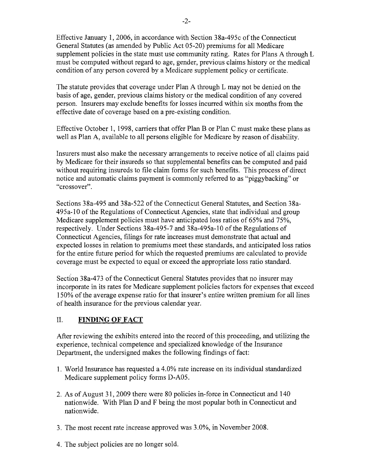Effective January 1,2006, in accordance with Section 38a-495c of the Connecticut General Statutes (as amended by Public Act 05-20) premiums for all Medicare supplement policies in the state must use community rating. Rates for Plans A through L must be computed without regard to age, gender, previous claims history or the medical condition of any person covered by a Medicare supplement policy or certificate.

The statute provides that coverage under Plan A through L may not be denied on the basis of age, gender, previous claims history or the medical condition of any covered person. Insurers may exclude benefits for losses incurred within six months from the effective date of coverage based on a pre-existing condition.

Effective October 1, 1998, carriers that offer Plan B or Plan C must make these plans as well as Plan A, available to all persons eligible for Medicare by reason of disability.

Insurers must also make the necessary arrangements to receive notice of all claims paid by Medicare for their insureds so that supplemental benefits can be computed and paid without requiring insureds to file claim forms for such benefits. This process of direct notice and automatic claims payment is commonly referred to as "piggybacking" or "crossover".

Sections 38a-495 and 38a-522 of the Connecticut General Statutes, and Section 38a-495a-10 of the Regulations of Connecticut Agencies, state that individual and group Medicare supplement policies must have anticipated loss ratios of 65% and 75%, respectively. Under Sections 38a-495-7 and 38a-495a-10 of the Regulations of Connecticut Agencies, filings for rate increases must demonstrate that actual and expected losses in relation to premiums meet these standards, and anticipated loss ratios for the entire future period for which the requested premiums are calculated to provide coverage must be expected to equal or exceed the appropriate loss ratio standard.

Section 38a-473 of the Connecticut General Statutes provides that no insurer may incorporate in its rates for Medicare supplement policies factors for expenses that exceed 150% of the average expense ratio for that insurer's entire written premium for all lines of health insurance for the previous calendar year.

#### II. **FINDING OF FACT**

After reviewing the exhibits entered into the record of this proceeding, and utilizing the experience, technical competence and specialized knowledge of the Insurance Department, the undersigned makes the following findings of fact:

- 1. World Insurance has requested a 4.0% rate increase on its individual standardized Medicare supplement policy forms D-A05.
- 2. As of August 31, 2009 there were 80 policies in-force in Connecticut and 140 nationwide. With Plan D and F being the most popular both in Connecticut and nationwide.
- 3. The most recent rate increase approved was 3.0%, in November 2008.
- 4. The subject policies are no longer sold.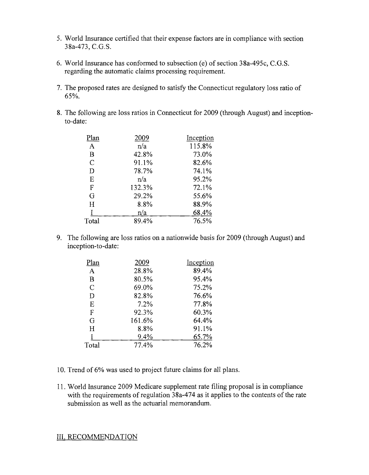- 5. World Insurance certified that their expense factors are in compliance with section 38a-473, C.G.S.
- 6. World Insurance has conformed to subsection (e) of section 38a-495c, C.G.S. regarding the automatic claims processing requirement.
- 7. The proposed rates are designed to satisfy the Connecticut regulatory loss ratio of 65%.
- 8. The following are loss ratios in Connecticut for 2009 (through August) and inceptionto-date:

| Plan          | 2009   | Inception |
|---------------|--------|-----------|
| $\mathbf{A}$  | n/a    | 115.8%    |
| B             | 42.8%  | 73.0%     |
| $\mathcal{C}$ | 91.1%  | 82.6%     |
| D             | 78.7%  | 74.1%     |
| E             | n/a    | 95.2%     |
| $\mathbf F$   | 132.3% | 72.1%     |
| G             | 29.2%  | 55.6%     |
| $H_{\rm}$     | 8.8%   | 88.9%     |
|               | n/a    | 68.4%     |
| Total         | 89.4%  | 76.5%     |
|               |        |           |

9. The following are loss ratios on a nationwide basis for 2009 (through August) and inception-to-date:

| 2009   | Inception |
|--------|-----------|
| 28.8%  | 89.4%     |
| 80.5%  | 95.4%     |
| 69.0%  | 75.2%     |
| 82.8%  | 76.6%     |
| 7.2%   | 77.8%     |
| 92.3%  | 60.3%     |
| 161.6% | 64.4%     |
| 8.8%   | 91.1%     |
| 9.4%   | 65.7%     |
| 77.4%  | 76.2%     |
|        |           |

- 10. Trend of6% was used to project future claims for all plans.
- 11. World Insurance 2009 Medicare supplement rate filing proposal is in compliance with the requirements of regulation  $38a-474$  as it applies to the contents of the rate submission as well as the actuarial memorandum.

III. RECOMMENDATION